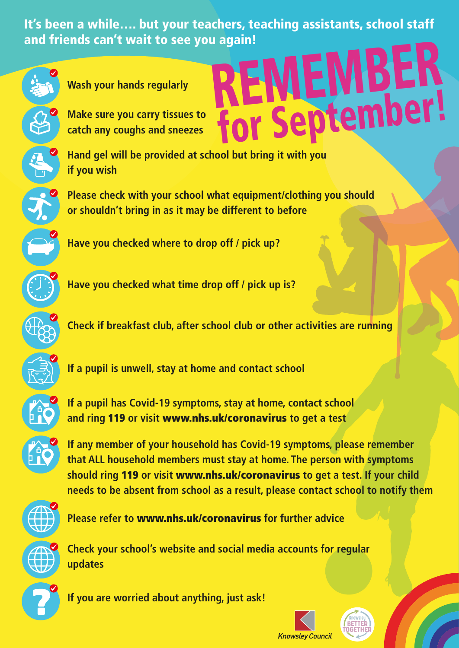It's been a while…. but your teachers, teaching assistants, school staff and friends can't wait to see you again! **REMEMBER** 

for September!



**Wash your hands regularly**

**Make sure you carry tissues to catch any coughs and sneezes**

**Hand gel will be provided at school but bring it with you if you wish**

**Please check with your school what equipment/clothing you should or shouldn't bring in as it may be different to before**

**Have you checked where to drop off / pick up?**

**Have you checked what time drop off / pick up is?**

**Check if breakfast club, after school club or other activities are running**

**If a pupil is unwell, stay at home and contact school**

**If a pupil has Covid-19 symptoms, stay at home, contact school and ring** 119 **or visit** www.nhs.uk/coronavirus **to get a test**



**If any member of your household has Covid-19 symptoms, please remember that ALL household members must stay at home. The person with symptoms should ring** 119 **or visit** www.nhs.uk/coronavirus **to get a test. If your child needs to be absent from school as a result, please contact school to notify them**



**Please refer to** www.nhs.uk/coronavirus **for further advice**



?

**Check your school's website and social media accounts for regular updates**

**If you are worried about anything, just ask!**